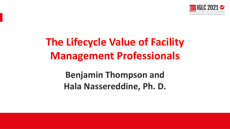

# **The Lifecycle Value of Facility Management Professionals**

## **Benjamin Thompson and Hala Nassereddine, Ph. D.**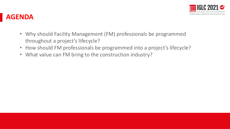

#### **AGENDA**

- Why should Facility Management (FM) professionals be programmed throughout a project's lifecycle?
- How should FM professionals be programmed into a project's lifecycle?
- What value can FM bring to the construction industry?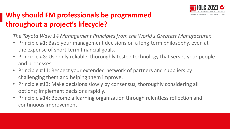

## **Why should FM professionals be programmed throughout a project's lifecycle?**

*The Toyota Way: 14 Management Principles from the World's Greatest Manufacturer.*

- Principle #1: Base your management decisions on a long-term philosophy, even at the expense of short-term financial goals.
- Principle #8: Use only reliable, thoroughly tested technology that serves your people and processes.
- Principle #11: Respect your extended network of partners and suppliers by challenging them and helping them improve.
- Principle #13: Make decisions slowly by consensus, thoroughly considering all options; implement decisions rapidly.
- Principle #14: Become a learning organization through relentless reflection and continuous improvement.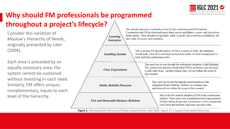

## **Why should FM professionals be programmed throughout a project's lifecycle?**

Consider this variation of Maslow's Hierarchy of Needs, originally presented by Liker (2004).

Each area is preceded by an equally necessary area; the system cannot be sustained without investing in each need. Similarly, FM offers unique, complementary, inputs to each level of the hierarchy.



Figure 1. FM Integration Hierarchy of Needs (Adopted from Liker 2004, Figure 17-1 Supply Chain Need Hierarchy).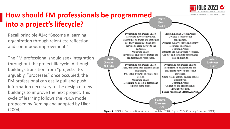

### **How should FM professionals be programmed into a project's lifecycle?**

Recall principle #14; "Become a learning organization through relentless reflection and continuous improvement."

The FM professional should seek integration throughout the project lifecycle. Although buildings transition from "projects" to, arguably, "processes" once occupied, the FM professional can easily pull and push information necessary to the design of new buildings to improve the next project. This cycle of learning follows the PDCA model proposed by Deming and adopted by Liker

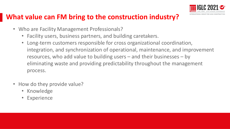

#### **What value can FM bring to the construction industry?**

- Who are Facility Management Professionals?
	- Facility users, business partners, and building caretakers.
	- Long-term customers responsible for cross organizational coordination, integration, and synchronization of operational, maintenance, and improvement resources, who add value to building users – and their businesses – by eliminating waste and providing predictability throughout the management process.
- How do they provide value?
	- Knowledge
	- Experience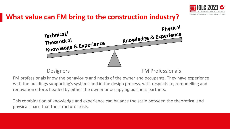

### **What value can FM bring to the construction industry?**



FM professionals know the behaviours and needs of the owner and occupants. They have experience with the buildings supporting's systems and in the design process, with respects to, remodelling and renovation efforts headed by either the owner or occupying business partners.

This combination of knowledge and experience can balance the scale between the theoretical and physical space that the structure exists.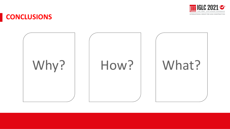

#### **CONCLUSIONS**